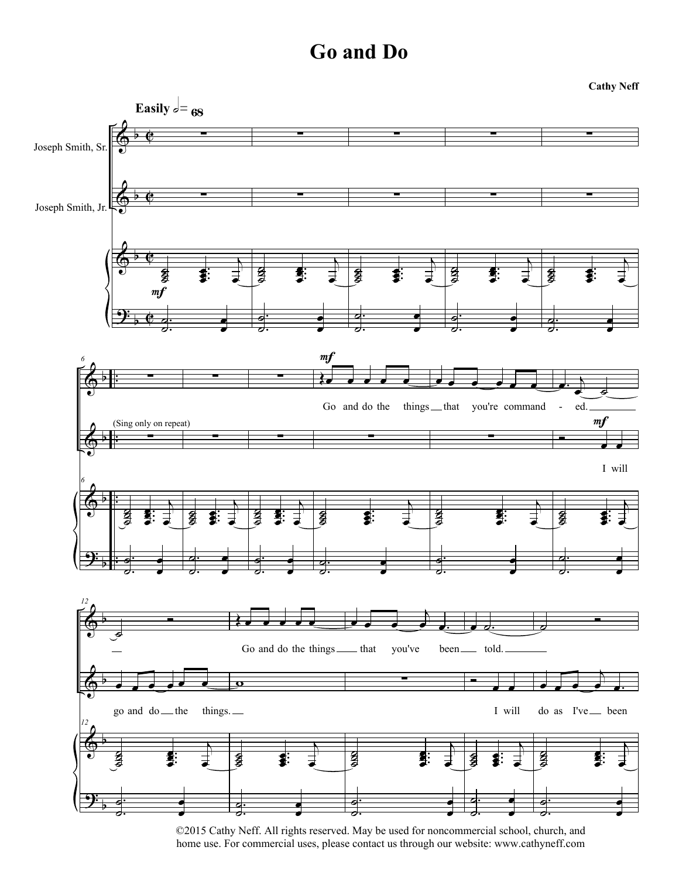**Cathy Neff**



©2015 Cathy Neff. All rights reserved. May be used for noncommercial school, church, and home use. For commercial uses, please contact us through our website: www.cathyneff.com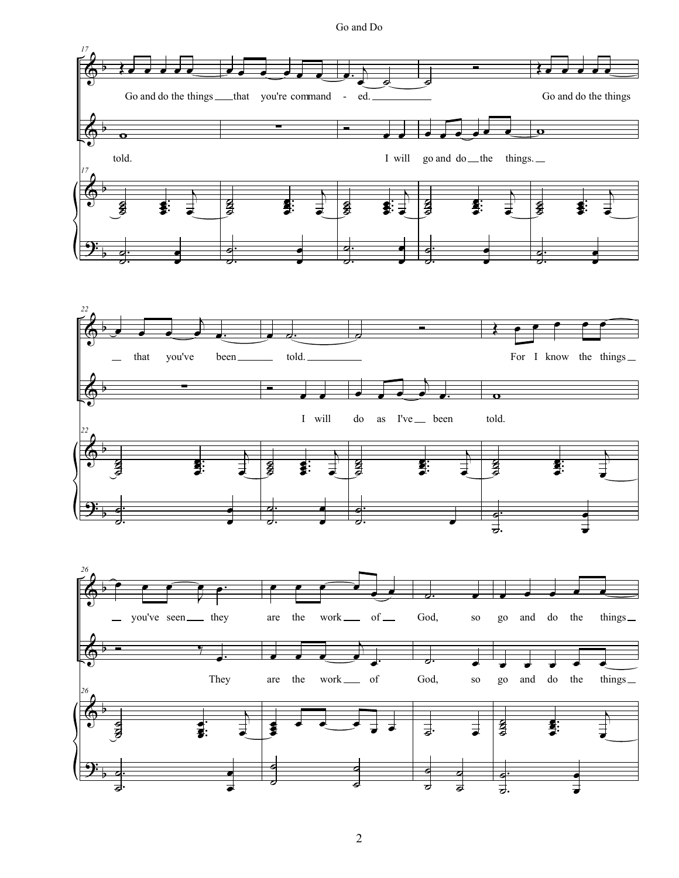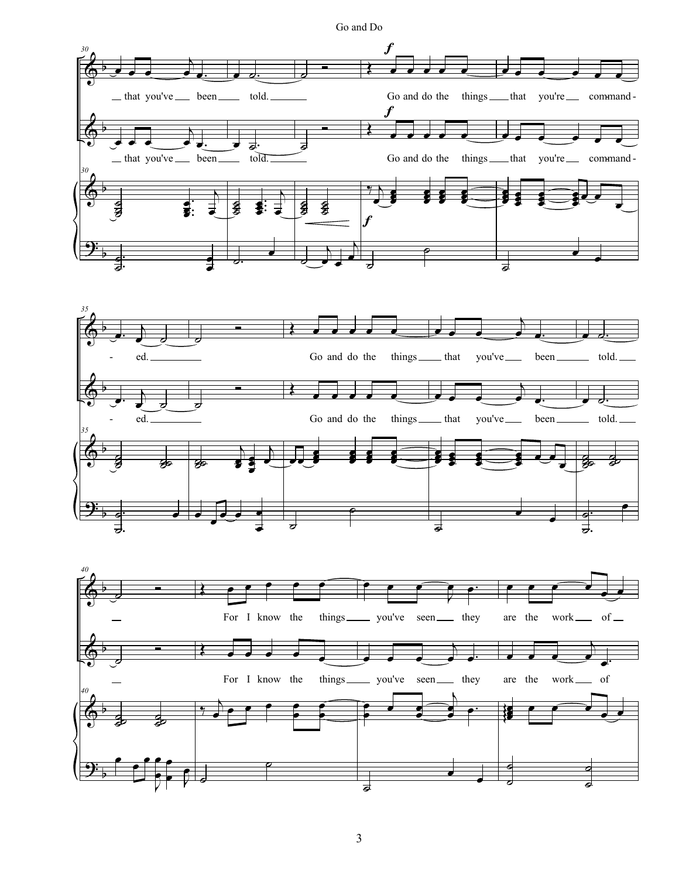